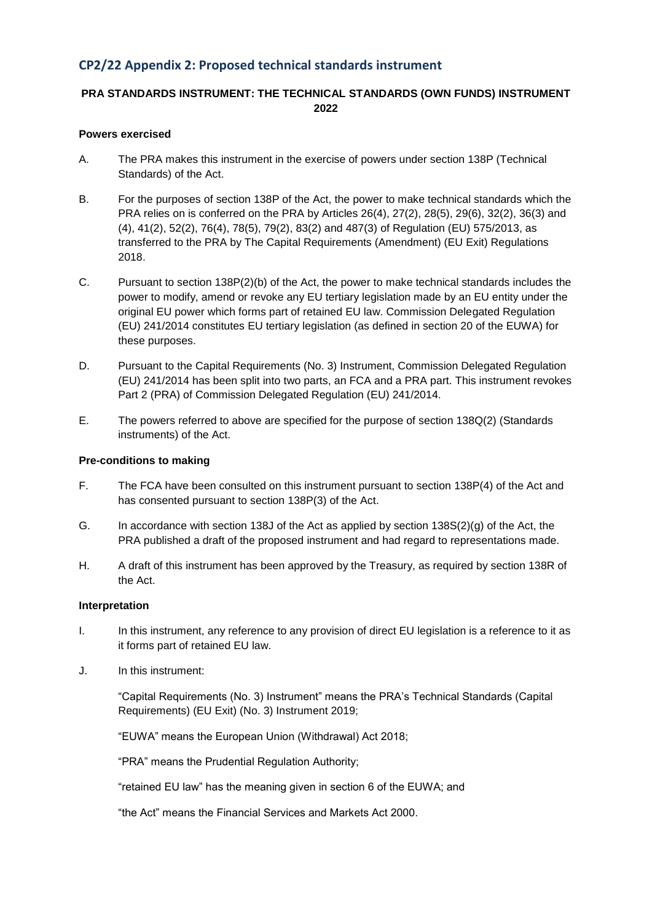## **CP2/22 Appendix 2: Proposed technical standards instrument**

## **PRA STANDARDS INSTRUMENT: THE TECHNICAL STANDARDS (OWN FUNDS) INSTRUMENT 2022**

#### **Powers exercised**

- A. The PRA makes this instrument in the exercise of powers under section 138P (Technical Standards) of the Act.
- B. For the purposes of section 138P of the Act, the power to make technical standards which the PRA relies on is conferred on the PRA by Articles 26(4), 27(2), 28(5), 29(6), 32(2), 36(3) and (4), 41(2), 52(2), 76(4), 78(5), 79(2), 83(2) and 487(3) of Regulation (EU) 575/2013, as transferred to the PRA by The Capital Requirements (Amendment) (EU Exit) Regulations 2018.
- C. Pursuant to section 138P(2)(b) of the Act, the power to make technical standards includes the power to modify, amend or revoke any EU tertiary legislation made by an EU entity under the original EU power which forms part of retained EU law. Commission Delegated Regulation (EU) 241/2014 constitutes EU tertiary legislation (as defined in section 20 of the EUWA) for these purposes.
- D. Pursuant to the Capital Requirements (No. 3) Instrument, Commission Delegated Regulation (EU) 241/2014 has been split into two parts, an FCA and a PRA part. This instrument revokes Part 2 (PRA) of Commission Delegated Regulation (EU) 241/2014.
- E. The powers referred to above are specified for the purpose of section 138Q(2) (Standards instruments) of the Act.

#### **Pre-conditions to making**

- F. The FCA have been consulted on this instrument pursuant to section 138P(4) of the Act and has consented pursuant to section 138P(3) of the Act.
- G. In accordance with section 138J of the Act as applied by section 138S(2)(g) of the Act, the PRA published a draft of the proposed instrument and had regard to representations made.
- H. A draft of this instrument has been approved by the Treasury, as required by section 138R of the Act.

#### **Interpretation**

- I. In this instrument, any reference to any provision of direct EU legislation is a reference to it as it forms part of retained EU law.
- J. In this instrument:

"Capital Requirements (No. 3) Instrument" means the PRA's Technical Standards (Capital Requirements) (EU Exit) (No. 3) Instrument 2019;

"EUWA" means the European Union (Withdrawal) Act 2018;

"PRA" means the Prudential Regulation Authority;

"retained EU law" has the meaning given in section 6 of the EUWA; and

"the Act" means the Financial Services and Markets Act 2000.